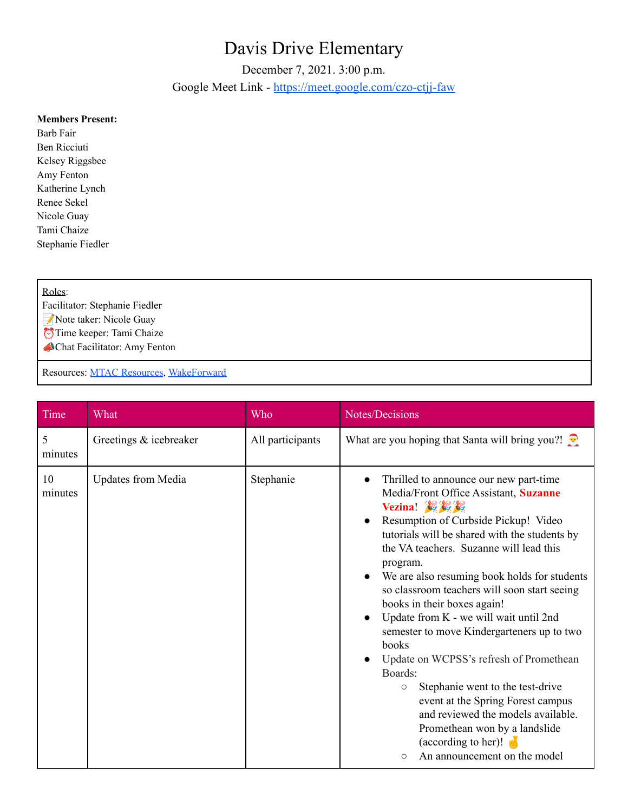## Davis Drive Elementary

December 7, 2021. 3:00 p.m. Google Meet Link - <https://meet.google.com/czo-ctjj-faw>

## **Members Present:**

Barb Fair Ben Ricciuti Kelsey Riggsbee Amy Fenton Katherine Lynch Renee Sekel Nicole Guay Tami Chaize Stephanie Fiedler

## Roles:

Facilitator: Stephanie Fiedler Note taker: Nicole Guay Time keeper: Tami Chaize Chat Facilitator: Amy Fenton

Resources: MTAC [Resources](https://sites.google.com/wcpss.net/library-media-services/wakeforward/mtac-resources), [WakeForward](https://sites.google.com/wcpss.net/library-media-services/wakeforward)

| Time          | What                      | Who              | Notes/Decisions                                                                                                                                                                                                                                                                                                                                                                                                                                                                                                                                                                                                                                                                                                                                               |  |  |
|---------------|---------------------------|------------------|---------------------------------------------------------------------------------------------------------------------------------------------------------------------------------------------------------------------------------------------------------------------------------------------------------------------------------------------------------------------------------------------------------------------------------------------------------------------------------------------------------------------------------------------------------------------------------------------------------------------------------------------------------------------------------------------------------------------------------------------------------------|--|--|
| 5<br>minutes  | Greetings & icebreaker    | All participants | What are you hoping that Santa will bring you?!                                                                                                                                                                                                                                                                                                                                                                                                                                                                                                                                                                                                                                                                                                               |  |  |
| 10<br>minutes | <b>Updates from Media</b> | Stephanie        | Thrilled to announce our new part-time<br>Media/Front Office Assistant, Suzanne<br>Vezina!<br>Resumption of Curbside Pickup! Video<br>tutorials will be shared with the students by<br>the VA teachers. Suzanne will lead this<br>program.<br>We are also resuming book holds for students<br>so classroom teachers will soon start seeing<br>books in their boxes again!<br>Update from K - we will wait until 2nd<br>semester to move Kindergarteners up to two<br>books<br>Update on WCPSS's refresh of Promethean<br>Boards:<br>Stephanie went to the test-drive<br>$\circ$<br>event at the Spring Forest campus<br>and reviewed the models available.<br>Promethean won by a landslide<br>(according to her)!<br>An announcement on the model<br>$\circ$ |  |  |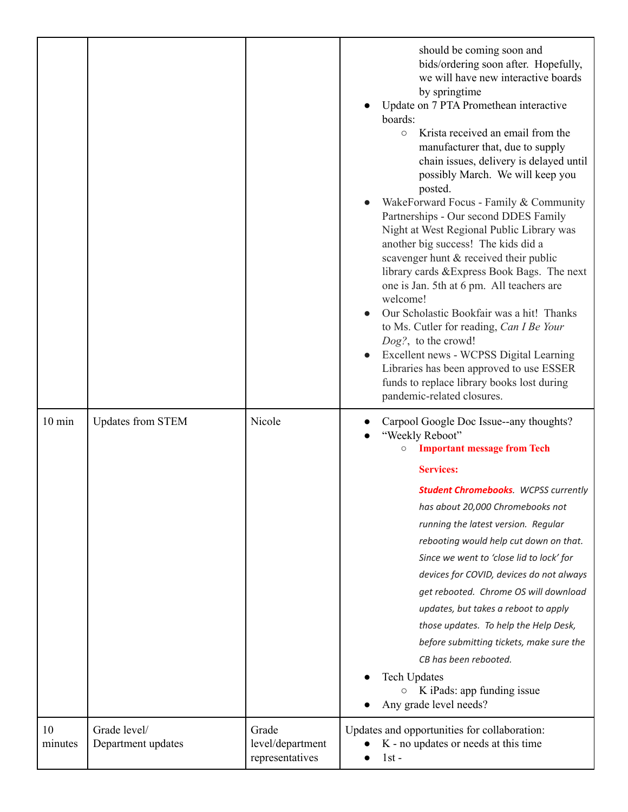|                  |                                    |                                              | should be coming soon and<br>bids/ordering soon after. Hopefully,<br>we will have new interactive boards<br>by springtime<br>Update on 7 PTA Promethean interactive<br>boards:<br>Krista received an email from the<br>$\circ$<br>manufacturer that, due to supply<br>chain issues, delivery is delayed until<br>possibly March. We will keep you<br>posted.<br>WakeForward Focus - Family & Community<br>Partnerships - Our second DDES Family<br>Night at West Regional Public Library was<br>another big success! The kids did a<br>scavenger hunt & received their public<br>library cards & Express Book Bags. The next<br>one is Jan. 5th at 6 pm. All teachers are<br>welcome!<br>Our Scholastic Bookfair was a hit! Thanks<br>to Ms. Cutler for reading, Can I Be Your<br>Dog?, to the crowd!<br>Excellent news - WCPSS Digital Learning<br>Libraries has been approved to use ESSER<br>funds to replace library books lost during<br>pandemic-related closures. |
|------------------|------------------------------------|----------------------------------------------|--------------------------------------------------------------------------------------------------------------------------------------------------------------------------------------------------------------------------------------------------------------------------------------------------------------------------------------------------------------------------------------------------------------------------------------------------------------------------------------------------------------------------------------------------------------------------------------------------------------------------------------------------------------------------------------------------------------------------------------------------------------------------------------------------------------------------------------------------------------------------------------------------------------------------------------------------------------------------|
| $10 \text{ min}$ | <b>Updates from STEM</b>           | Nicole                                       | Carpool Google Doc Issue--any thoughts?<br>"Weekly Reboot"<br><b>Important message from Tech</b><br>$\circ$<br><b>Services:</b>                                                                                                                                                                                                                                                                                                                                                                                                                                                                                                                                                                                                                                                                                                                                                                                                                                          |
|                  |                                    |                                              | <b>Student Chromebooks.</b> WCPSS currently<br>has about 20,000 Chromebooks not<br>running the latest version. Regular<br>rebooting would help cut down on that.<br>Since we went to 'close lid to lock' for<br>devices for COVID, devices do not always<br>get rebooted. Chrome OS will download<br>updates, but takes a reboot to apply<br>those updates. To help the Help Desk,<br>before submitting tickets, make sure the<br>CB has been rebooted.<br><b>Tech Updates</b><br>$\circ$ K iPads: app funding issue<br>Any grade level needs?                                                                                                                                                                                                                                                                                                                                                                                                                           |
| 10<br>minutes    | Grade level/<br>Department updates | Grade<br>level/department<br>representatives | Updates and opportunities for collaboration:<br>K - no updates or needs at this time<br>$1st -$                                                                                                                                                                                                                                                                                                                                                                                                                                                                                                                                                                                                                                                                                                                                                                                                                                                                          |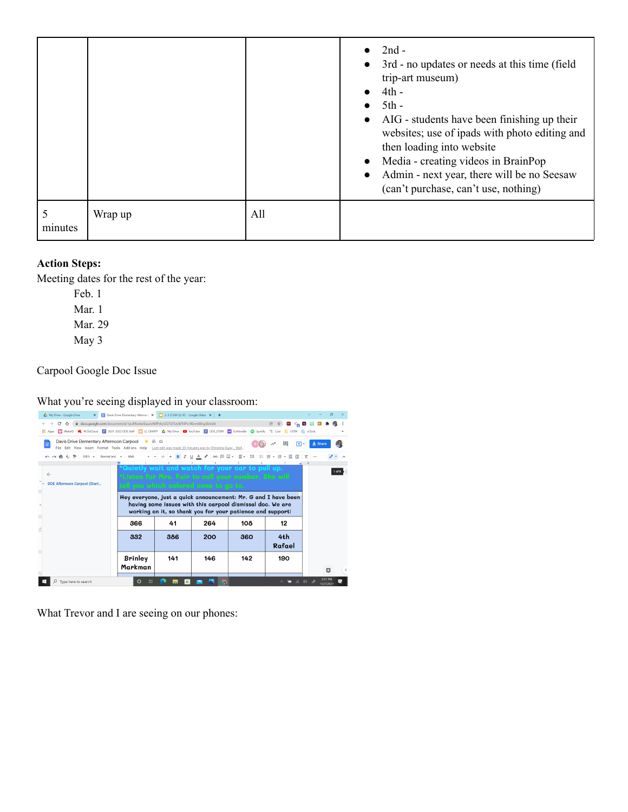|         |         |     | $2nd -$<br>3rd - no updates or needs at this time (field)<br>trip-art museum)<br>4th -<br>$5th -$<br>AIG - students have been finishing up their<br>websites; use of ipads with photo editing and<br>then loading into website<br>Media - creating videos in BrainPop<br>Admin - next year, there will be no Seesaw<br>(can't purchase, can't use, nothing) |
|---------|---------|-----|-------------------------------------------------------------------------------------------------------------------------------------------------------------------------------------------------------------------------------------------------------------------------------------------------------------------------------------------------------------|
| minutes | Wrap up | All |                                                                                                                                                                                                                                                                                                                                                             |

## **Action Steps:**

Meeting dates for the rest of the year:

Feb. 1 Mar. 1 Mar. 29 May 3

Carpool Google Doc Issue

What you're seeing displayed in your classroom:

| My Drive - Google Drive<br>$\boldsymbol{\mathsf{x}}$                           | Davis Drive Elementary Afternoo: X 2-3 STEM Q2 R5 - Google Slides X +                                                                                                                             |     |                                                                                                                                                                                                                                                                                                                                                 |     |               | σ<br>$\times$              |  |  |
|--------------------------------------------------------------------------------|---------------------------------------------------------------------------------------------------------------------------------------------------------------------------------------------------|-----|-------------------------------------------------------------------------------------------------------------------------------------------------------------------------------------------------------------------------------------------------------------------------------------------------------------------------------------------------|-----|---------------|----------------------------|--|--|
| # docs.google.com/document/d/1pvRRo4wlEauJoNIfPxkyUO7dTUyWT4PLHlEnm88rg38/edit |                                                                                                                                                                                                   |     |                                                                                                                                                                                                                                                                                                                                                 |     |               | $\omega$                   |  |  |
| <b>III</b> Apps                                                                | T WakelD M NCEdCloud <b>T</b> 2021-2022 DDE Staff T CCMAPP A My Drive <b>D</b> YouTube T DDE_STEM <b>Co</b> GoNoodle<br>Spotify <sup>on</sup> Cozi<br>STEM (Vy vClock                             |     |                                                                                                                                                                                                                                                                                                                                                 |     |               |                            |  |  |
| Ξ                                                                              | Davis Drive Elementary Afternoon Carpool *<br>$\alpha$ $\alpha$<br>ஈ<br><b>Share</b><br>File Edit View Insert Format Tools Add-ons Help Last edit was made 23 minutes ago by Christina Guay_Staf. |     |                                                                                                                                                                                                                                                                                                                                                 |     |               |                            |  |  |
| A, = 100% v Normal text v                                                      | Mali                                                                                                                                                                                              |     | <b>B <i>I</i></b> U A <b><i>I</i></b> @ <b>B D E</b> F <b>E</b> F <b>E</b> E <b>E</b> E <b>E</b>                                                                                                                                                                                                                                                |     |               |                            |  |  |
| $\leftarrow$<br><b>DDE Afternoon Carpool (Start</b>                            |                                                                                                                                                                                                   |     | Quietly wait and watch for your car to pull up.<br>*Listen for Mrs. Fair to call your number. She will<br>tell you which colored cone to go to. .<br>Hey everyone, just a quick announcement: Mr. G and I have been<br>having some issues with this carpool dismissal doc. We are<br>working on it, so thank you for your patience and support! |     |               | 1 of 8                     |  |  |
| Ľ.                                                                             | 366                                                                                                                                                                                               | 41  | 264                                                                                                                                                                                                                                                                                                                                             | 108 | 12            |                            |  |  |
|                                                                                | 332                                                                                                                                                                                               | 386 | 200                                                                                                                                                                                                                                                                                                                                             | 360 | 4th<br>Rafael |                            |  |  |
|                                                                                | <b>Brinley</b><br>Markman                                                                                                                                                                         | 141 | 146                                                                                                                                                                                                                                                                                                                                             | 142 | 190           | o                          |  |  |
| Type here to search                                                            | Ħ<br>$\circ$                                                                                                                                                                                      |     |                                                                                                                                                                                                                                                                                                                                                 |     |               | 257 PM<br>do.<br>12/7/2021 |  |  |

What Trevor and I are seeing on our phones: